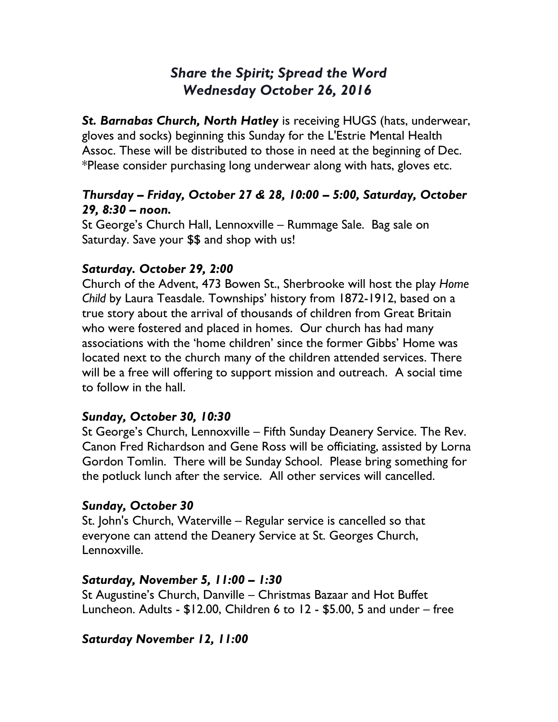# *Share the Spirit; Spread the Word Wednesday October 26, 2016*

*St. Barnabas Church, North Hatley* is receiving HUGS (hats, underwear, gloves and socks) beginning this Sunday for the L'Estrie Mental Health Assoc. These will be distributed to those in need at the beginning of Dec. \*Please consider purchasing long underwear along with hats, gloves etc.

### *Thursday – Friday, October 27 & 28, 10:00 – 5:00, Saturday, October 29, 8:30 – noon.*

St George's Church Hall, Lennoxville – Rummage Sale. Bag sale on Saturday. Save your \$\$ and shop with us!

# *Saturday. October 29, 2:00*

Church of the Advent, 473 Bowen St., Sherbrooke will host the play *Home Child* by Laura Teasdale. Townships' history from 1872-1912, based on a true story about the arrival of thousands of children from Great Britain who were fostered and placed in homes. Our church has had many associations with the 'home children' since the former Gibbs' Home was located next to the church many of the children attended services. There will be a free will offering to support mission and outreach. A social time to follow in the hall.

# *Sunday, October 30, 10:30*

St George's Church, Lennoxville – Fifth Sunday Deanery Service. The Rev. Canon Fred Richardson and Gene Ross will be officiating, assisted by Lorna Gordon Tomlin. There will be Sunday School. Please bring something for the potluck lunch after the service. All other services will cancelled.

### *Sunday, October 30*

St. John's Church, Waterville – Regular service is cancelled so that everyone can attend the Deanery Service at St. Georges Church, Lennoxville.

### *Saturday, November 5, 11:00 – 1:30*

St Augustine's Church, Danville – Christmas Bazaar and Hot Buffet Luncheon. Adults - \$12.00, Children 6 to 12 - \$5.00, 5 and under – free

### *Saturday November 12, 11:00*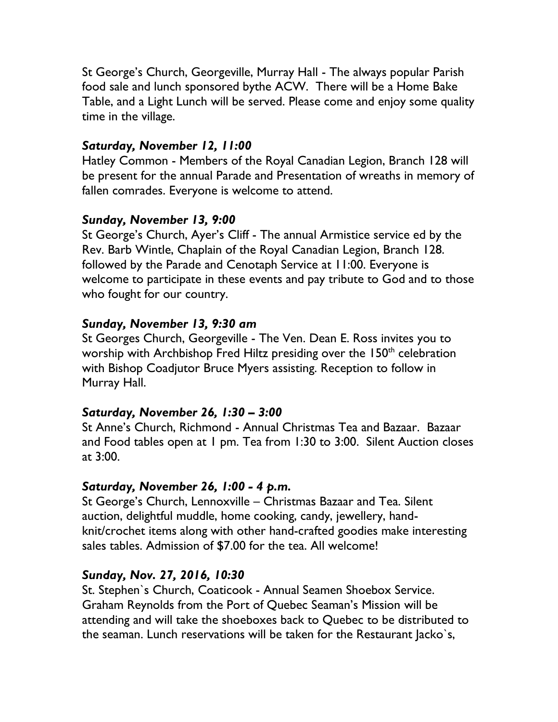St George's Church, Georgeville, Murray Hall - The always popular Parish food sale and lunch sponsored bythe ACW. There will be a Home Bake Table, and a Light Lunch will be served. Please come and enjoy some quality time in the village.

### *Saturday, November 12, 11:00*

Hatley Common - Members of the Royal Canadian Legion, Branch 128 will be present for the annual Parade and Presentation of wreaths in memory of fallen comrades. Everyone is welcome to attend.

### *Sunday, November 13, 9:00*

St George's Church, Ayer's Cliff - The annual Armistice service ed by the Rev. Barb Wintle, Chaplain of the Royal Canadian Legion, Branch 128. followed by the Parade and Cenotaph Service at 11:00. Everyone is welcome to participate in these events and pay tribute to God and to those who fought for our country.

### *Sunday, November 13, 9:30 am*

St Georges Church, Georgeville - The Ven. Dean E. Ross invites you to worship with Archbishop Fred Hiltz presiding over the 150<sup>th</sup> celebration with Bishop Coadjutor Bruce Myers assisting. Reception to follow in Murray Hall.

### *Saturday, November 26, 1:30 – 3:00*

St Anne's Church, Richmond - Annual Christmas Tea and Bazaar. Bazaar and Food tables open at 1 pm. Tea from 1:30 to 3:00. Silent Auction closes at 3:00.

### *Saturday, November 26, 1:00 - 4 p.m.*

St George's Church, Lennoxville – Christmas Bazaar and Tea. Silent auction, delightful muddle, home cooking, candy, jewellery, handknit/crochet items along with other hand-crafted goodies make interesting sales tables. Admission of \$7.00 for the tea. All welcome!

### *Sunday, Nov. 27, 2016, 10:30*

St. Stephen`s Church, Coaticook - Annual Seamen Shoebox Service. Graham Reynolds from the Port of Quebec Seaman's Mission will be attending and will take the shoeboxes back to Quebec to be distributed to the seaman. Lunch reservations will be taken for the Restaurant Jacko`s,